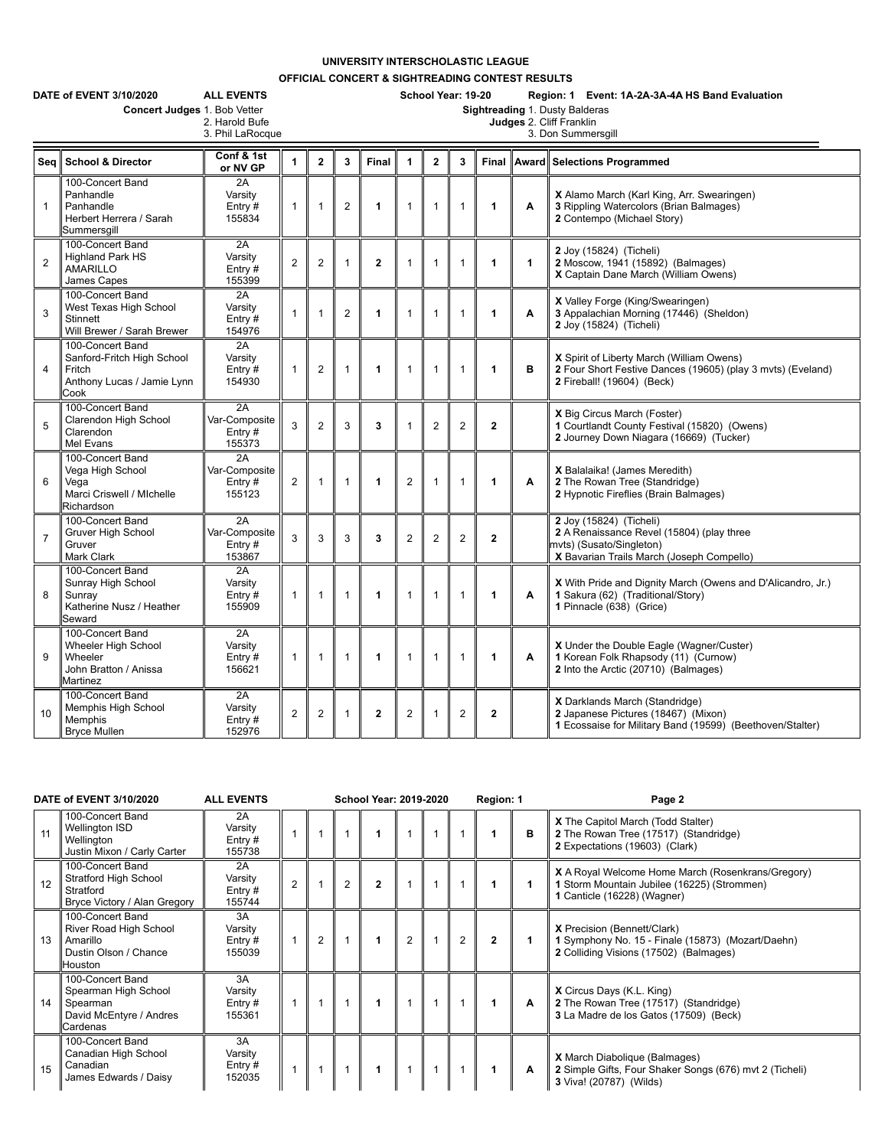## **UNIVERSITY INTERSCHOLASTIC LEAGUE**

**OFFICIAL CONCERT & SIGHTREADING CONTEST RESULTS**

|                | DATE of EVENT 3/10/2020                                                                        | <b>ALL EVENTS</b>                       |                |                |                |                      | School Year: 19-20<br>Region: 1 Event: 1A-2A-3A-4A HS Band Evaluation            |                |                |                      |              |                                                                                                                                               |  |  |  |  |  |
|----------------|------------------------------------------------------------------------------------------------|-----------------------------------------|----------------|----------------|----------------|----------------------|----------------------------------------------------------------------------------|----------------|----------------|----------------------|--------------|-----------------------------------------------------------------------------------------------------------------------------------------------|--|--|--|--|--|
|                | Concert Judges 1. Bob Vetter                                                                   | 2. Harold Bufe                          |                |                |                |                      | Sightreading 1. Dusty Balderas<br>Judges 2. Cliff Franklin<br>3. Don Summersgill |                |                |                      |              |                                                                                                                                               |  |  |  |  |  |
|                |                                                                                                | 3. Phil LaRocque                        |                |                |                |                      |                                                                                  |                |                |                      |              |                                                                                                                                               |  |  |  |  |  |
| Seg l          | <b>School &amp; Director</b>                                                                   | Conf & 1st<br>or NV GP                  | 1              | $\mathbf{2}$   | $\mathbf{3}$   | Final                | $\mathbf{1}$                                                                     | $\overline{2}$ | $\mathbf{3}$   | Final                | <b>Award</b> | <b>Selections Programmed</b>                                                                                                                  |  |  |  |  |  |
| $\mathbf{1}$   | 100-Concert Band<br>Panhandle<br>Panhandle<br>Herbert Herrera / Sarah<br>Summersgill           | 2A<br>Varsity<br>Entry $#$<br>155834    | $\mathbf{1}$   | $\overline{1}$ | $\overline{2}$ | $\blacktriangleleft$ | $\mathbf{1}$                                                                     | $\mathbf{1}$   | $\mathbf{1}$   | $\blacktriangleleft$ | A            | X Alamo March (Karl King, Arr. Swearingen)<br>3 Rippling Watercolors (Brian Balmages)<br>2 Contempo (Michael Story)                           |  |  |  |  |  |
| $\overline{2}$ | 100-Concert Band<br><b>Highland Park HS</b><br>AMARILLO<br>James Capes                         | 2A<br>Varsity<br>Entry $#$<br>155399    | $\overline{2}$ | 2              | $\mathbf{1}$   | $\mathbf{2}$         | 1                                                                                | $\mathbf{1}$   | $\mathbf{1}$   | $\mathbf{1}$         | $\mathbf{1}$ | 2 Joy (15824) (Ticheli)<br>2 Moscow, 1941 (15892) (Balmages)<br>X Captain Dane March (William Owens)                                          |  |  |  |  |  |
| 3              | 100-Concert Band<br>West Texas High School<br><b>Stinnett</b><br>Will Brewer / Sarah Brewer    | 2A<br>Varsity<br>Entry $#$<br>154976    | $\mathbf{1}$   | $\mathbf{1}$   | $\overline{2}$ | $\blacktriangleleft$ | $\mathbf{1}$                                                                     | $\mathbf{1}$   | $\overline{1}$ | $\blacktriangleleft$ | A            | X Valley Forge (King/Swearingen)<br>3 Appalachian Morning (17446) (Sheldon)<br>2 Joy (15824) (Ticheli)                                        |  |  |  |  |  |
| $\overline{4}$ | 100-Concert Band<br>Sanford-Fritch High School<br>Fritch<br>Anthony Lucas / Jamie Lynn<br>Cook | 2A<br>Varsity<br>Entry $#$<br>154930    | $\mathbf{1}$   | $\overline{2}$ | 1              | $\mathbf{1}$         | $\mathbf{1}$                                                                     | $\mathbf{1}$   | $\overline{1}$ | $\mathbf{1}$         | B            | X Spirit of Liberty March (William Owens)<br>2 Four Short Festive Dances (19605) (play 3 myts) (Eveland)<br>2 Fireball! (19604) (Beck)        |  |  |  |  |  |
| 5              | 100-Concert Band<br>Clarendon High School<br>Clarendon<br>Mel Evans                            | 2A<br>Var-Composite<br>Entry#<br>155373 | 3              | $\overline{2}$ | 3              | 3                    | 1                                                                                | $\overline{2}$ | $\overline{2}$ | $\mathbf{2}$         |              | X Big Circus March (Foster)<br>1 Courtlandt County Festival (15820) (Owens)<br>2 Journey Down Niagara (16669) (Tucker)                        |  |  |  |  |  |
| 6              | 100-Concert Band<br>Vega High School<br>Vega<br>Marci Criswell / Michelle<br>Richardson        | 2A<br>Var-Composite<br>Entry#<br>155123 | $\overline{2}$ | $\mathbf{1}$   | $\overline{1}$ | 1                    | $\overline{\mathbf{c}}$                                                          | $\mathbf{1}$   | $\mathbf{1}$   | 1                    | A            | X Balalaika! (James Meredith)<br>2 The Rowan Tree (Standridge)<br>2 Hypnotic Fireflies (Brain Balmages)                                       |  |  |  |  |  |
| $\overline{7}$ | 100-Concert Band<br>Gruver High School<br>Gruver<br>Mark Clark                                 | 2A<br>Var-Composite<br>Entry#<br>153867 | 3              | 3              | 3              | 3                    | $\overline{2}$                                                                   | $\overline{2}$ | $\overline{2}$ | $\overline{2}$       |              | 2 Joy (15824) (Ticheli)<br>2 A Renaissance Revel (15804) (play three<br>mvts) (Susato/Singleton)<br>X Bavarian Trails March (Joseph Compello) |  |  |  |  |  |
| 8              | 100-Concert Band<br>Sunray High School<br>Sunray<br>Katherine Nusz / Heather<br>Seward         | 2A<br>Varsity<br>Entry#<br>155909       | $\mathbf{1}$   | $\mathbf{1}$   | $\mathbf{1}$   | $\mathbf{1}$         | 1                                                                                | $\mathbf{1}$   | $\mathbf{1}$   | $\mathbf{1}$         | A            | X With Pride and Dignity March (Owens and D'Alicandro, Jr.)<br>1 Sakura (62) (Traditional/Story)<br>1 Pinnacle (638) (Grice)                  |  |  |  |  |  |
| 9              | 100-Concert Band<br>Wheeler High School<br>Wheeler<br>John Bratton / Anissa<br>Martinez        | 2A<br>Varsity<br>Entry $#$<br>156621    | $\mathbf{1}$   | $\mathbf{1}$   | $\mathbf{1}$   | $\mathbf{1}$         | $\mathbf{1}$                                                                     | $\mathbf{1}$   | $\mathbf{1}$   | $\mathbf{1}$         | A            | X Under the Double Eagle (Wagner/Custer)<br>1 Korean Folk Rhapsody (11) (Curnow)<br>2 Into the Arctic (20710) (Balmages)                      |  |  |  |  |  |
| 10             | 100-Concert Band<br>Memphis High School<br>Memphis<br><b>Bryce Mullen</b>                      | 2A<br>Varsity<br>Entry#<br>152976       | $\overline{2}$ | $\overline{2}$ | $\overline{1}$ | $\mathbf{2}$         | $\overline{2}$                                                                   | $\mathbf{1}$   | $\overline{2}$ | $\overline{2}$       |              | X Darklands March (Standridge)<br>2 Japanese Pictures (18467) (Mixon)<br>1 Ecossaise for Military Band (19599) (Beethoven/Stalter)            |  |  |  |  |  |

| DATE of EVENT 3/10/2020 |                                                                                                   | <b>ALL EVENTS</b>                    | <b>School Year: 2019-2020</b> |   |                |              |   |  |                | Region: 1      |   | Page 2                                                                                                                            |
|-------------------------|---------------------------------------------------------------------------------------------------|--------------------------------------|-------------------------------|---|----------------|--------------|---|--|----------------|----------------|---|-----------------------------------------------------------------------------------------------------------------------------------|
| 11                      | 100-Concert Band<br>Wellington ISD<br>Wellington<br>Justin Mixon / Carly Carter                   | 2A<br>Varsity<br>Entry $#$<br>155738 |                               |   |                |              |   |  |                |                | в | X The Capitol March (Todd Stalter)<br>2 The Rowan Tree (17517) (Standridge)<br>2 Expectations (19603) (Clark)                     |
| 12                      | 100-Concert Band<br>Stratford High School<br>Stratford<br>Bryce Victory / Alan Gregory            | 2A<br>Varsity<br>Entry $#$<br>155744 | $\overline{2}$                |   | $\overline{2}$ | $\mathbf{2}$ |   |  |                |                |   | X A Royal Welcome Home March (Rosenkrans/Gregory)<br>1 Storm Mountain Jubilee (16225) (Strommen)<br>1 Canticle (16228) (Wagner)   |
| 13                      | 100-Concert Band<br>River Road High School<br>Amarillo<br>Dustin Olson / Chance<br><b>Houston</b> | 3A<br>Varsity<br>Entry $#$<br>155039 |                               | 2 |                |              | 2 |  | $\overline{2}$ | $\overline{2}$ |   | <b>X</b> Precision (Bennett/Clark)<br>1 Symphony No. 15 - Finale (15873) (Mozart/Daehn)<br>2 Colliding Visions (17502) (Balmages) |
| 14                      | 100-Concert Band<br>Spearman High School<br>Spearman<br>David McEntyre / Andres<br>Cardenas       | 3A<br>Varsity<br>Entry $#$<br>155361 |                               |   |                |              |   |  |                |                | A | X Circus Days (K.L. King)<br>2 The Rowan Tree (17517) (Standridge)<br>3 La Madre de los Gatos (17509) (Beck)                      |
| 15                      | 100-Concert Band<br>Canadian High School<br>Canadian<br>James Edwards / Daisy                     | 3A<br>Varsity<br>Entry $#$<br>152035 |                               |   |                |              |   |  |                |                | A | <b>X</b> March Diabolique (Balmages)<br>2 Simple Gifts, Four Shaker Songs (676) mvt 2 (Ticheli)<br>3 Viva! (20787) (Wilds)        |